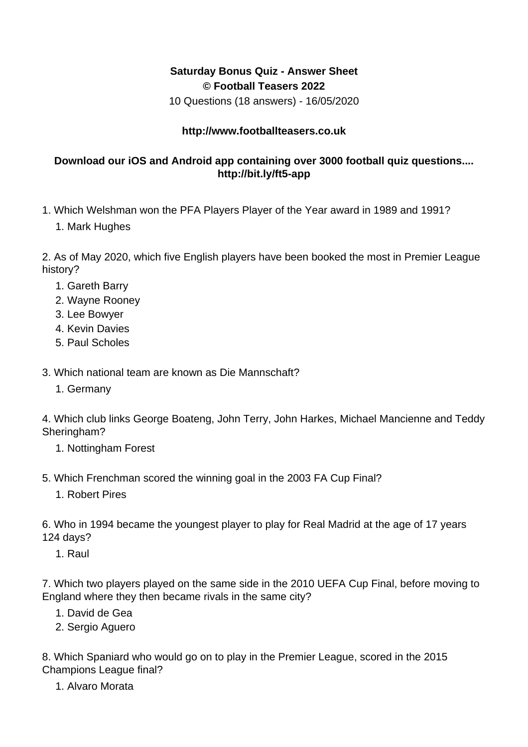## **Saturday Bonus Quiz - Answer Sheet © Football Teasers 2022**

10 Questions (18 answers) - 16/05/2020

## **http://www.footballteasers.co.uk**

## **Download our iOS and Android app containing over 3000 football quiz questions.... http://bit.ly/ft5-app**

- 1. Which Welshman won the PFA Players Player of the Year award in 1989 and 1991?
	- 1. Mark Hughes

2. As of May 2020, which five English players have been booked the most in Premier League history?

- 1. Gareth Barry
- 2. Wayne Rooney
- 3. Lee Bowyer
- 4. Kevin Davies
- 5. Paul Scholes
- 3. Which national team are known as Die Mannschaft?
	- 1. Germany

4. Which club links George Boateng, John Terry, John Harkes, Michael Mancienne and Teddy Sheringham?

- 1. Nottingham Forest
- 5. Which Frenchman scored the winning goal in the 2003 FA Cup Final?
	- 1. Robert Pires
- 6. Who in 1994 became the youngest player to play for Real Madrid at the age of 17 years 124 days?
	- 1. Raul

7. Which two players played on the same side in the 2010 UEFA Cup Final, before moving to England where they then became rivals in the same city?

- 1. David de Gea
- 2. Sergio Aguero

8. Which Spaniard who would go on to play in the Premier League, scored in the 2015 Champions League final?

1. Alvaro Morata